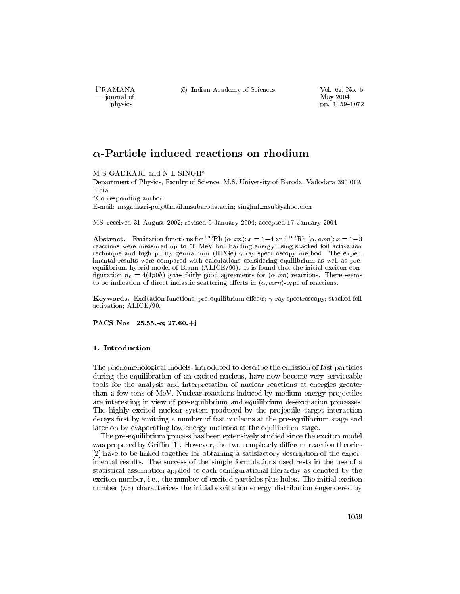PRAMANA – journal of physics

© Indian Academy of Sciences

Vol. 62, No. 5 May 2004 pp. 1059-1072

# $\alpha$ -Particle induced reactions on rhodium

M S GADKARI and N L SINGH\*

Department of Physics, Faculty of Science, M.S. University of Baroda, Vadodara 390 002, India

 $^\ast{\rm Corresponding\,\,}a$ uthor

E-mail: msgadkari-poly@mail.msubaroda.ac.in; singhnl\_msu@yahoo.com

MS received 31 August 2002; revised 9 January 2004; accepted 17 January 2004

**Abstract.** Excitation functions for <sup>103</sup>Rh  $(\alpha, xn)$ ;  $x = 1-4$  and <sup>103</sup>Rh  $(\alpha, \alpha xn)$ ;  $x = 1-3$ reactions were measured up to 50 MeV bombarding energy using stacked foil activation technique and high purity germanium (HPGe)  $\gamma$ -ray spectroscopy method. The experimental results were compared with calculations considering equilibrium as well as preequilibrium hybrid model of Blann (ALICE/90). It is found that the initial exciton configuration  $n_0 = 4(4p0h)$  gives fairly good agreements for  $(\alpha, xn)$  reactions. There seems to be indication of direct inelastic scattering effects in  $(\alpha, \alpha x n)$ -type of reactions.

**Keywords.** Excitation functions; pre-equilibrium effects;  $\gamma$ -ray spectroscopy; stacked foil activation; ALICE/90.

PACS Nos 25.55.-e;  $27.60.+i$ 

# 1. Introduction

The phenomenological models, introduced to describe the emission of fast particles during the equilibration of an excited nucleus, have now become very serviceable tools for the analysis and interpretation of nuclear reactions at energies greater than a few tens of MeV. Nuclear reactions induced by medium energy projectiles are interesting in view of pre-equilibrium and equilibrium de-excitation processes. The highly excited nuclear system produced by the projectile–target interaction decays first by emitting a number of fast nucleons at the pre-equilibrium stage and later on by evaporating low-energy nucleons at the equilibrium stage.

The pre-equilibrium process has been extensively studied since the exciton model was proposed by Griffin [1]. However, the two completely different reaction theories [2] have to be linked together for obtaining a satisfactory description of the experimental results. The success of the simple formulations used rests in the use of a statistical assumption applied to each configurational hierarchy as denoted by the exciton number, *i.e.*, the number of excited particles plus holes. The initial exciton number  $(n_0)$  characterizes the initial excitation energy distribution engendered by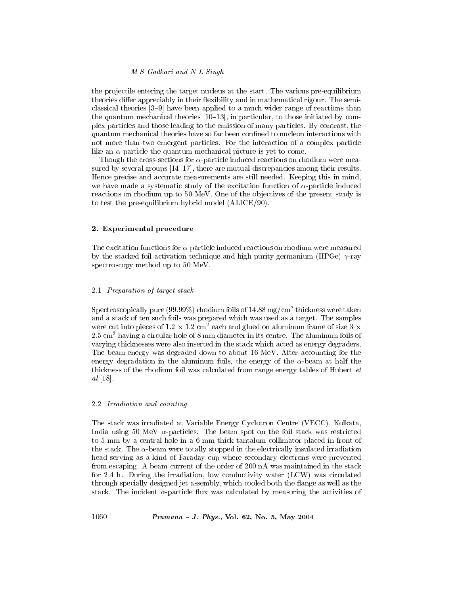the projectile entering the target nucleus at the start. The various pre-equilibrium theories differ appreciably in their flexibility and in mathematical rigour. The semiclassical theories  $[3-9]$  have been applied to a much wider range of reactions than the quantum mechanical theories  $[10-13]$ , in particular, to those initiated by complex particles and those leading to the emission of many particles. By contrast, the quantum mechanical theories have so far been confined to nucleon interactions with not more than two emergent particles. For the interaction of a complex particle like an  $\alpha$ -particle the quantum mechanical picture is yet to come.

Though the cross-sections for  $\alpha$ -particle induced reactions on rhodium were measured by several groups  $[14-17]$ , there are mutual discrepancies among their results. Hence precise and accurate measurements are still needed. Keeping this in mind, we have made a systematic study of the excitation function of  $\alpha$ -particle induced reactions on rhodium up to 50 MeV. One of the objectives of the present study is to test the pre-equilibrium hybrid model (ALICE/90).

## 2. Experimental procedure

The excitation functions for  $\alpha$ -particle induced reactions on rhodium were measured by the stacked foil activation technique and high purity germanium (HPGe)  $\gamma$ -ray spectroscopy method up to 50 MeV.

#### 2.1 Preparation of target stack

Spectroscopically pure (99.99%) rhodium foils of  $14.88 \,\mathrm{mg/cm^2}$  thickness were taken and a stack of ten such foils was prepared which was used as a target. The samples were cut into pieces of  $1.2 \times 1.2$  cm<sup>2</sup> each and glued on aluminum frame of size 3  $\times$  $2.5 \text{ cm}^2$  having a circular hole of 8 mm diameter in its centre. The aluminum foils of varying thicknesses were also inserted in the stack which acted as energy degraders. The beam energy was degraded down to about 16 MeV. After accounting for the energy degradation in the aluminum foils, the energy of the  $\alpha$ -beam at half the thickness of the rhodium foil was calculated from range energy tables of Hubert *et*  $al$  [18].

# 2.2 Irradiation and counting

The stack was irradiated at Variable Energy Cyclotron Centre (VECC), Kolkata, India using 50 MeV  $\alpha$ -particles. The beam spot on the foil stack was restricted to 5 mm by a central hole in a 6 mm thick tantalum collimator placed in front of the stack. The  $\alpha$ -beam were totally stopped in the electrically insulated irradiation head serving as a kind of Faraday cup where secondary electrons were prevented from escaping. A beam current of the order of 200 nA was maintained in the stack for 2.4 h. During the irradiation, low conductivity water (LCW) was circulated through specially designed jet assembly, which cooled both the flange as well as the stack. The incident  $\alpha$ -particle flux was calculated by measuring the activities of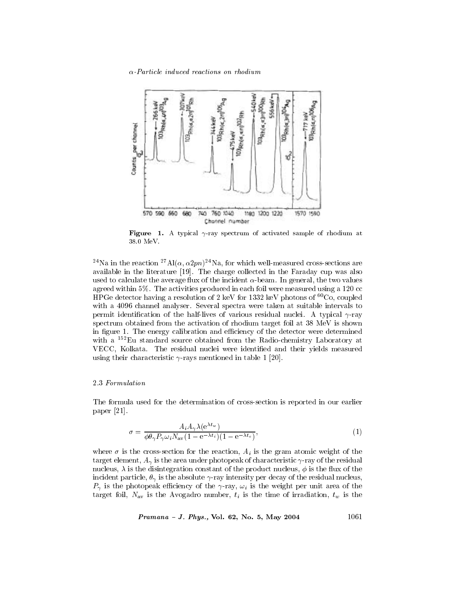

**Figure** 1. A typical  $\gamma$ -ray spectrum of activated sample of rhodium at 38.0 MeV.

<sup>24</sup>Na in the reaction <sup>27</sup>Al( $\alpha$ ,  $\alpha$ 2pn)<sup>24</sup>Na, for which well-measured cross-sections are available in the literature [19]. The charge collected in the Faraday cup was also used to calculate the average flux of the incident  $\alpha$ -beam. In general, the two values agreed within 5%. The activities produced in each foil were measured using a 120 cc HPGe detector having a resolution of 2 keV for 1332 keV photons of  ${}^{60}Co$ , coupled with a 4096 channel analyser. Several spectra were taken at suitable intervals to permit identification of the half-lives of various residual nuclei. A typical  $\gamma$ -ray spectrum obtained from the activation of rhodium target foil at 38 MeV is shown in figure 1. The energy calibration and efficiency of the detector were determined with a <sup>152</sup>Eu standard source obtained from the Radio-chemistry Laboratory at VECC, Kolkata. The residual nuclei were identified and their yields measured using their characteristic  $\gamma$ -rays mentioned in table 1 [20].

# 2.3 Formulation

The formula used for the determination of cross-section is reported in our earlier paper  $[21]$ .

$$
\sigma = \frac{A_i A_\gamma \lambda(e^{\lambda t_w})}{\phi \theta_\gamma P_\gamma \omega_i N_{\rm av} (1 - e^{-\lambda t_i})(1 - e^{-\lambda t_c})},\tag{1}
$$

where  $\sigma$  is the cross-section for the reaction,  $A_i$  is the gram atomic weight of the target element,  $A_{\gamma}$  is the area under photopeak of characteristic  $\gamma$ -ray of the residual nucleus,  $\lambda$  is the disintegration constant of the product nucleus,  $\phi$  is the flux of the incident particle,  $\theta_{\gamma}$  is the absolute  $\gamma$ -ray intensity per decay of the residual nucleus,  $P_{\gamma}$  is the photopeak efficiency of the  $\gamma$ -ray,  $\omega_i$  is the weight per unit area of the target foil,  $N_{\text{av}}$  is the Avogadro number,  $t_i$  is the time of irradiation,  $t_w$  is the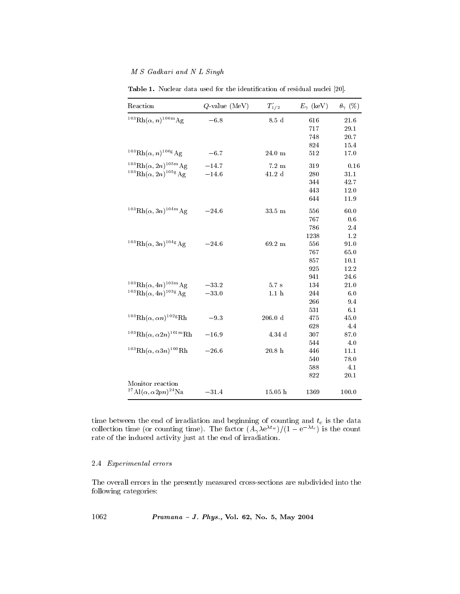| Reaction                                                | $Q$ -value (MeV) | $T_{1/2}$        | $E_{\gamma}$ (keV) | $\theta_{\gamma}$ (%) |
|---------------------------------------------------------|------------------|------------------|--------------------|-----------------------|
| $^{103}Rh(\alpha, n)^{106m}Ag$                          | $-6.8$           | $8.5\,$ d        | 616                | 21.6                  |
|                                                         |                  |                  | 717                | 29.1                  |
|                                                         |                  |                  | 748                | 20.7                  |
|                                                         |                  |                  | 824                | 15.4                  |
| $^{103}{\rm Rh}(\alpha, n)^{106}{\rm g\,Ag}$            | $-6.7$           | $24.0\,$ m       | 512                | 17.0                  |
| $103$ Rh $(\alpha, 2n)$ <sup>105m</sup> Ag              | $-14.7$          | $7.2~\mathrm{m}$ | 319                | 0.16                  |
| $^{103}{\rm Rh}(\alpha,2n)^{105}{\rm g\,Ag}$            | $-14.6$          | $41.2\,$ d       | 280                | 31.1                  |
|                                                         |                  |                  | 344                | 42.7                  |
|                                                         |                  |                  | 443                | 12.0                  |
|                                                         |                  |                  | 644                | 11.9                  |
| $103$ Rh( $\alpha$ , 3n) <sup>104m</sup> Ag             | $-24.6$          | 33.5 m           | 556                | 60.0                  |
|                                                         |                  |                  | 767                | 0.6                   |
|                                                         |                  |                  | 786                | 2.4                   |
|                                                         |                  |                  | 1238               | 1.2                   |
| $103\,\text{Rh}(\alpha,3n)\,104\,\text{g}$              | $-24.6$          | 69.2 m           | 556                | 91.0                  |
|                                                         |                  |                  | 767                | 65.0                  |
|                                                         |                  |                  | 857                | 10.1                  |
|                                                         |                  |                  | 925                | 12.2                  |
|                                                         |                  |                  | 941                | 24.6                  |
| $103\,\text{Rh}(\alpha, 4n)$ $103\,\text{m}\,\text{Ag}$ | $-33.2$          | 5.7s             | 134                | 21.0                  |
| $^{103}{\rm Rh}(\alpha, 4n)^{103}$ g Ag                 | $-33.0$          | 1.1 <sub>h</sub> | 244                | 6.0                   |
|                                                         |                  |                  | 266                | 9.4                   |
|                                                         |                  |                  | 531                | 6.1                   |
| $103$ Rh $(\alpha, \alpha n)^{102}$ gRh                 | $-9.3$           | $206.0\text{ d}$ | 475                | 45.0                  |
|                                                         |                  |                  | 628                | 4.4                   |
| $103$ Rh $(\alpha, \alpha 2n)$ <sup>101m</sup> Rh       | $-16.9\,$        | 4.34 d           | 307                | 87.0                  |
|                                                         |                  |                  | 544                | 4.0                   |
| $^{103}\text{Rh}(\alpha, \alpha 3n)^{100}\text{Rh}$     | $-26.6$          | $20.8\,$ h       | 446                | 11.1                  |
|                                                         |                  |                  | 540                | 78.0                  |
|                                                         |                  |                  | 588                | 4.1                   |
|                                                         |                  |                  | 822                | 20.1                  |
| Monitor reaction                                        |                  |                  |                    |                       |
| $^{27}$ Al $(\alpha, \alpha 2pn)^{24}$ Na               | $-31.4$          | 15.05 h          | 1369               | 100.0                 |

Table 1. Nuclear data used for the identification of residual nuclei [20].

time between the end of irradiation and beginning of counting and  $t_c$  is the data collection time (or counting time). The factor  $(A_\gamma \lambda e^{\lambda t_w})/(1 - e^{-\lambda t_c})$  is the count rate of the induced activity just at the end of irradiation.

# $2.4$  Experimental errors

The overall errors in the presently measured cross-sections are subdivided into the following categories:

Pramana - J. Phys., Vol. 62, No. 5, May 2004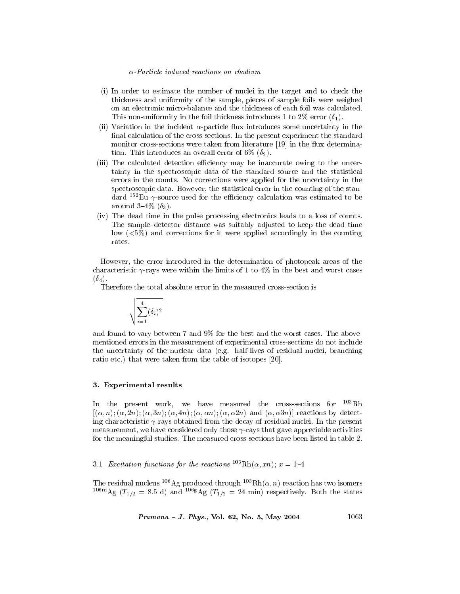- (i) In order to estimate the number of nuclei in the target and to check the thickness and uniformity of the sample, pieces of sample foils were weighed on an electronic micro-balance and the thickness of each foil was calculated. This non-uniformity in the foil thickness introduces 1 to 2\% error  $(\delta_1)$ .
- (ii) Variation in the incident  $\alpha$ -particle flux introduces some uncertainty in the final calculation of the cross-sections. In the present experiment the standard monitor cross-sections were taken from literature [19] in the flux determination. This introduces an overall error of 6%  $(\delta_2)$ .
- (iii) The calculated detection efficiency may be inaccurate owing to the uncertainty in the spectroscopic data of the standard source and the statistical errors in the counts. No corrections were applied for the uncertainty in the spectroscopic data. However, the statistical error in the counting of the standard  $152$ Eu  $\gamma$ -source used for the efficiency calculation was estimated to be around  $3-4\%$  ( $\delta_3$ ).
- (iv) The dead time in the pulse processing electronics leads to a loss of counts. The sample-detector distance was suitably adjusted to keep the dead time low  $(\leq 5\%)$  and corrections for it were applied accordingly in the counting rates.

However, the error introduced in the determination of photopeak areas of the characteristic  $\gamma$ -rays were within the limits of 1 to 4% in the best and worst cases  $(\delta_4)$ .

Therefore the total absolute error in the measured cross-section is

$$
\sqrt{\sum_{i=1}^4 (\delta_i)^2}
$$

and found to vary between 7 and 9% for the best and the worst cases. The abovementioned errors in the measurement of experimental cross-sections do not include the uncertainty of the nuclear data (e.g. half-lives of residual nuclei, branching ratio etc.) that were taken from the table of isotopes [20].

#### 3. Experimental results

In the present work, we have measured the cross-sections for  $^{103}Rh$  $[(\alpha, n); (\alpha, 2n); (\alpha, 3n); (\alpha, 4n); (\alpha, \alpha n); (\alpha, \alpha 2n)$  and  $(\alpha, \alpha 3n)]$  reactions by detecting characteristic  $\gamma$ -rays obtained from the decay of residual nuclei. In the present measurement, we have considered only those  $\gamma$ -rays that gave appreciable activities for the meaningful studies. The measured cross-sections have been listed in table 2.

3.1 Excitation functions for the reactions  ${}^{103} \text{Rh}(\alpha, xn)$ ;  $x = 1-4$ 

The residual nucleus <sup>106</sup>Ag produced through <sup>103</sup>Rh( $\alpha$ , *n*) reaction has two isomers <sup>106</sup>mAg ( $T_{1/2}$  = 8.5 d) and <sup>106g</sup>Ag ( $T_{1/2}$  = 24 min) respectively. Both the states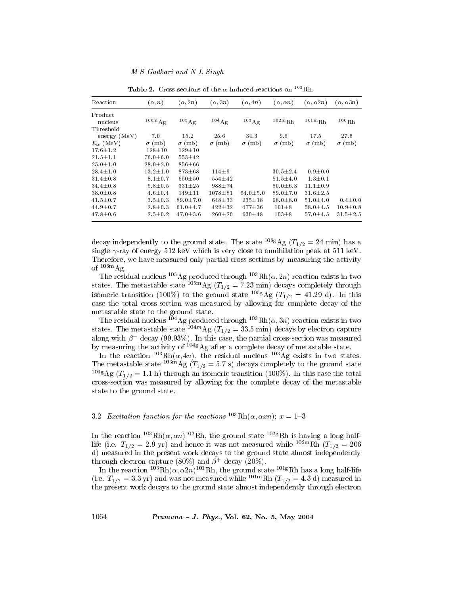| Reaction           | $(\alpha, n)$  | $(\alpha, 2n)$     | $(\alpha,3n)$    | $(\alpha, 4n)$      | $(\alpha, \alpha n)$          | $(\alpha, \alpha 2n)$ | $(\alpha, \alpha 3n)$ |
|--------------------|----------------|--------------------|------------------|---------------------|-------------------------------|-----------------------|-----------------------|
| Product            |                |                    |                  |                     |                               |                       |                       |
| nucleus            | $106m$ Ag      | $105\,\mathrm{Ag}$ | $104 \text{ Ag}$ | $^{103}\mathrm{Ag}$ | $^{102\mathrm{m}}\mathrm{Rh}$ | $^{101\rm{m}}\rm{Rh}$ | $^{100}\mbox{\rm Rh}$ |
| Threshold          |                |                    |                  |                     |                               |                       |                       |
| energy (MeV)       | 7.0            | 15.2               | 25.6             | 34.3                | 9.6                           | 17.5                  | 27.6                  |
| $E_{\alpha}$ (MeV) | $\sigma$ (mb)  | $\sigma$ (mb)      | $\sigma$ (mb)    | $\sigma$ (mb)       | $\sigma$ (mb)                 | $\sigma$ (mb)         | $\sigma$ (mb)         |
| $17.6 + 1.2$       | $128 + 10$     | $129 + 10$         |                  |                     |                               |                       |                       |
| $21.5 + 1.1$       | $76.0 \pm 6.0$ | $553 \pm 42$       |                  |                     |                               |                       |                       |
| $25.0 + 1.0$       | $28.0 \pm 2.0$ | $856 + 66$         |                  |                     |                               |                       |                       |
| $28.4 \pm 1.0$     | $13.2 \pm 1.0$ | $873 + 68$         | $114 + 9$        |                     | $30.5 \pm 2.4$                | $0.9 + 0.0$           |                       |
| $31.4 + 0.8$       | $8.1 \pm 0.7$  | $650 + 50$         | $554 \pm 42$     |                     | $51.5 \pm 4.0$                | $1.3 + 0.1$           |                       |
| $34.4 \pm 0.8$     | $5.8 + 0.5$    | $331 + 25$         | 988±74           |                     | $80.0 + 6.3$                  | $11.1 + 0.9$          |                       |
| $38.0 \pm 0.8$     | $4.6 \pm 0.4$  | $149 \pm 11$       | $1078 + 81$      | $64.0 + 5.0$        | $89.0 \pm 7.0$                | $31.6 \pm 2.5$        |                       |
| $41.5 \pm 0.7$     | $3.5 \pm 0.3$  | $89.0 \pm 7.0$     | $648 + 33$       | $235 \pm 18$        | $98.0 \pm 8.0$                | $51.0 \pm 4.0$        | $0.4 + 0.0$           |
| $44.9 + 0.7$       | $2.8 \pm 0.3$  | $61.0 + 4.7$       | $422 + 32$       | $477 + 36$          | $101 \pm 8$                   | $58.0 + 4.5$          | $10.9 \pm 0.8$        |
| $47.8 \pm 0.6$     | $2.5 \pm 0.2$  | $47.0 + 3.6$       | $260 + 20$       | $630 + 48$          | $103 \pm 8$                   | 57.0 $\pm$ 4.5        | $31.5 \pm 2.5$        |

**Table 2.** Cross-sections of the  $\alpha$ -induced reactions on <sup>103</sup>Rh.

decay independently to the ground state. The state <sup>106g</sup> Ag ( $T_{1/2}$  = 24 min) has a single  $\gamma$ -ray of energy 512 keV which is very close to annihilation peak at 511 keV. Therefore, we have measured only partial cross-sections by measuring the activity of  $106m$  Ag.

The residual nucleus <sup>105</sup>Ag produced through <sup>103</sup>Rh( $\alpha$ , 2n) reaction exists in two states. The metastable state  $^{105m}$ Ag ( $T_{1/2}$  = 7.23 min) decays completely through isomeric transition (100%) to the ground state <sup>105g</sup>Ag ( $T_{1/2}$  = 41.29 d). In this case the total cross-section was measured by allowing for complete decay of the metastable state to the ground state.

The residual nucleus <sup>104</sup>Ag produced through <sup>103</sup>Rh( $\alpha$ , 3*n*) reaction exists in two states. The metastable state <sup>104*m*</sup>Ag (*T*<sub>1/2</sub> = 33.5 min) decays by electron capture along with  $\beta^+$  decay (99.93%). In this case, the partial cross-section was measured by measuring the activity of  $1048\text{Ag}$  after a complete decay of metastable state.

In the reaction  $^{103}$ Rh( $\alpha$ , 4n), the residual nucleus  $^{103}$ Ag exists in two states.<br>The metastable state  $^{103m}$ Ag ( $T_{1/2} = 5.7$  s) decays completely to the ground state <sup>103g</sup>Ag ( $T_{1/2}$  = 1.1 h) through an isomeric transition (100%). In this case the total cross-section was measured by allowing for the complete decay of the metastable state to the ground state.

# 3.2 Excitation function for the reactions  ${}^{103}Rh(\alpha, \alpha xn); x=1-3$

In the reaction <sup>103</sup>Rh( $\alpha$ ,  $\alpha n$ )<sup>102</sup>Rh, the ground state <sup>102g</sup>Rh is having a long halflife (i.e.  $T_{1/2} = 2.9$  yr) and hence it was not measured while <sup>102m</sup>Rh ( $T_{1/2} = 206$ d) measured in the present work decays to the ground state almost independently through electron capture (80%) and  $\beta^+$  decay (20%).

In the reaction <sup>103</sup>Rh( $\alpha$ ,  $\alpha$ 2n)<sup>101</sup>Rh, the ground state <sup>101g</sup>Rh has a long half-life (i.e.  $T_{1/2} = 3.3$  yr) and was not measured while <sup>101m</sup>Rh ( $T_{1/2} = 4.3$  d) measured in the present work decays to the ground state almost independently through electron

Pramana - J. Phys., Vol. 62, No. 5, May 2004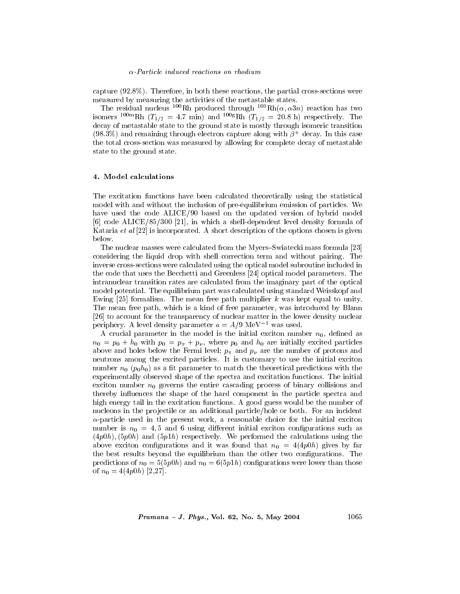capture  $(92.8\%)$ . Therefore, in both these reactions, the partial cross-sections were measured by measuring the activities of the metastable states.

The residual nucleus <sup>100</sup>Rh produced through <sup>103</sup>Rh( $\alpha$ ,  $\alpha$ 3*n*) reaction has two isomers <sup>100m</sup>Rh ( $T_{1/2}$  = 4.7 min) and <sup>100g</sup>Rh ( $T_{1/2}$  = 20.8 h) respectively. The decay of metastable state to the ground state is mostly through isomeric transition  $(98.3\%)$  and remaining through electron capture along with  $\beta^+$  decay. In this case the total cross-section was measured by allowing for complete decay of metastable state to the ground state.

## 4. Model calculations

The excitation functions have been calculated theoretically using the statistical model with and without the inclusion of pre-equilibrium emission of particles. We have used the code ALICE/90 based on the updated version of hybrid model [6] code ALICE/85/300 [21], in which a shell-dependent level density formula of Kataria et al [22] is incorporated. A short description of the options chosen is given below.

The nuclear masses were calculated from the Myers–Swiatecki mass formula [23] considering the liquid drop with shell correction term and without pairing. The inverse cross-sections were calculated using the optical model subroutine included in the code that uses the Becchetti and Greenless [24] optical model parameters. The intranuclear transition rates are calculated from the imaginary part of the optical model potential. The equilibrium part was calculated using standard Weisskopf and Ewing [25] formalism. The mean free path multiplier k was kept equal to unity. The mean free path, which is a kind of free parameter, was introduced by Blann [26] to account for the transparency of nuclear matter in the lower density nuclear periphery. A level density parameter  $a = A/9 \text{ MeV}^{-1}$  was used.

A crucial parameter in the model is the initial exciton number  $n_0$ , defined as  $n_0 = p_0 + h_0$  with  $p_0 = p_\pi + p_\nu$ , where  $p_0$  and  $h_0$  are initially excited particles above and holes below the Fermi level;  $p_{\pi}$  and  $p_{\nu}$  are the number of protons and neutrons among the excited particles. It is customary to use the initial exciton number  $n_0$  ( $p_0h_0$ ) as a fit parameter to match the theoretical predictions with the experimentally observed shape of the spectra and excitation functions. The initial exciton number  $n_0$  governs the entire cascading process of binary collisions and thereby influences the shape of the hard component in the particle spectra and high energy tail in the excitation functions. A good guess would be the number of nucleons in the projectile or an additional particle/hole or both. For an incident  $\alpha$ -particle used in the present work, a reasonable choice for the initial exciton number is  $n_0 = 4, 5$  and 6 using different initial exciton configurations such as  $(4p0h)$ ,  $(5p0h)$  and  $(5p1h)$  respectively. We performed the calculations using the above exciton configurations and it was found that  $n_0 = 4(4p0h)$  gives by far the best results beyond the equilibrium than the other two configurations. The predictions of  $n_0 = 5(5p0h)$  and  $n_0 = 6(5p1h)$  configurations were lower than those of  $n_0 = 4(4p0h)$  [2,27].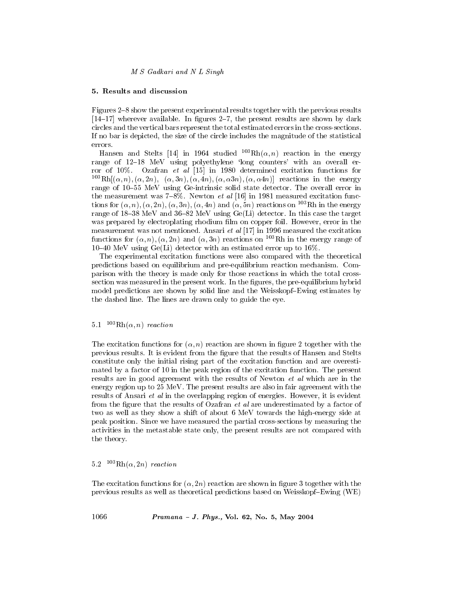# 5. Results and discussion

Figures 2–8 show the present experimental results together with the previous results  $[14-17]$  wherever available. In figures 2-7, the present results are shown by dark circles and the vertical bars represent the total estimated errors in the cross-sections. If no bar is depicted, the size of the circle includes the magnitude of the statistical errors.

Hansen and Stelts [14] in 1964 studied  $^{103}Rh(\alpha, n)$  reaction in the energy range of 12-18 MeV using polyethylene 'long counters' with an overall error of 10%. Ozafran et al  $[15]$  in 1980 determined excitation functions for <sup>103</sup>Rh[ $(\alpha, n)$ ,  $(\alpha, 2n)$ ,  $(\alpha, 3n)$ ,  $(\alpha, 4n)$ ,  $(\alpha, \alpha 3n)$ ,  $(\alpha, \alpha 4n)$ ] reactions in the energy range of 10–55 MeV using Ge-intrinsic solid state detector. The overall error in the measurement was  $7-8\%$ . Newton *et al* [16] in 1981 measured excitation functions for  $(\alpha, n), (\alpha, 2n), (\alpha, 3n), (\alpha, 4n)$  and  $(\alpha, 5n)$  reactions on <sup>103</sup>Rh in the energy range of 18–38 MeV and 36–82 MeV using  $Ge(L)$  detector. In this case the target was prepared by electroplating rhodium film on copper foil. However, error in the measurement was not mentioned. Ansari et al  $[17]$  in 1996 measured the excitation functions for  $(\alpha, n), (\alpha, 2n)$  and  $(\alpha, 3n)$  reactions on <sup>103</sup>Rh in the energy range of 10-40 MeV using  $Ge(Li)$  detector with an estimated error up to 16%.

The experimental excitation functions were also compared with the theoretical predictions based on equilibrium and pre-equilibrium reaction mechanism. Comparison with the theory is made only for those reactions in which the total crosssection was measured in the present work. In the figures, the pre-equilibrium hybrid model predictions are shown by solid line and the Weisskopf-Ewing estimates by the dashed line. The lines are drawn only to guide the eye.

# 5.1  $^{103}Rh(\alpha, n)$  reaction

The excitation functions for  $(\alpha, n)$  reaction are shown in figure 2 together with the previous results. It is evident from the figure that the results of Hansen and Stelts constitute only the initial rising part of the excitation function and are overestimated by a factor of 10 in the peak region of the excitation function. The present results are in good agreement with the results of Newton *et al* which are in the energy region up to 25 MeV. The present results are also in fair agreement with the results of Ansari et al in the overlapping region of energies. However, it is evident from the figure that the results of Ozafran *et al* are underestimated by a factor of two as well as they show a shift of about 6 MeV towards the high-energy side at peak position. Since we have measured the partial cross-sections by measuring the activities in the metastable state only, the present results are not compared with the theory.

#### $103Rh(\alpha, 2n)$  reaction  $5.2$

The excitation functions for  $(\alpha, 2n)$  reaction are shown in figure 3 together with the previous results as well as theoretical predictions based on Weisskopf-Ewing (WE)

1066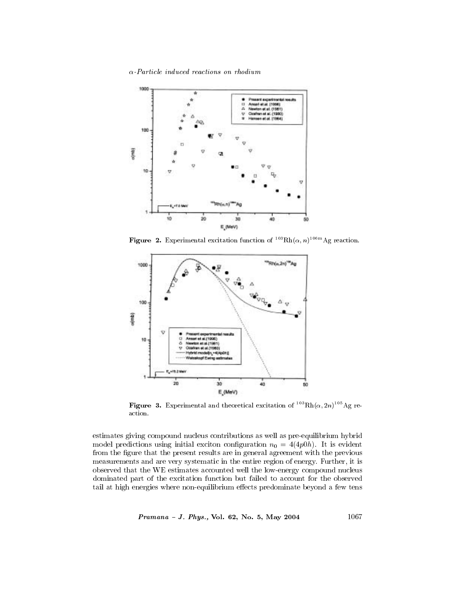

Figure 2. Experimental excitation function of  ${}^{103}Rh(\alpha, n) {}^{106m}Ag$  reaction.



**Figure 3.** Experimental and theoretical excitation of  $^{103}Rh(\alpha, 2n)^{105}Ag$  reaction.

estimates giving compound nucleus contributions as well as pre-equilibrium hybrid model predictions using initial exciton configuration  $n_0 = 4(4p0h)$ . It is evident from the figure that the present results are in general agreement with the previous measurements and are very systematic in the entire region of energy. Further, it is observed that the WE estimates accounted well the low-energy compound nucleus dominated part of the excitation function but failed to account for the observed tail at high energies where non-equilibrium effects predominate beyond a few tens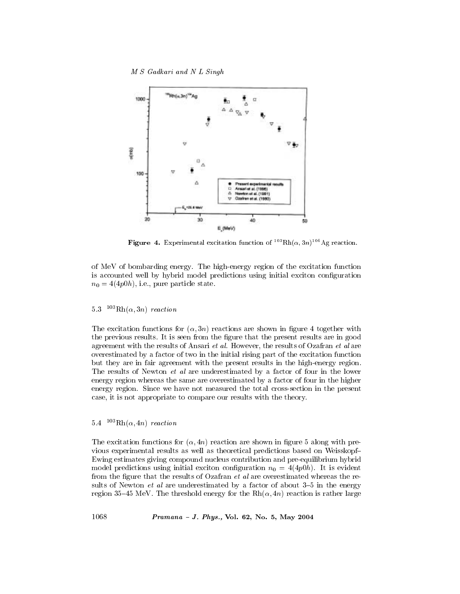M S Gadkari and N L Singh



**Figure 4.** Experimental excitation function of  $^{103}Rh(\alpha, 3n)^{104}Ag$  reaction.

of MeV of bombarding energy. The high-energy region of the excitation function is accounted well by hybrid model predictions using initial exciton configuration  $n_0 = 4(4p0h)$ , i.e., pure particle state.

 $5.3$  $103Rh(\alpha,3n)$  reaction

The excitation functions for  $(\alpha,3n)$  reactions are shown in figure 4 together with the previous results. It is seen from the figure that the present results are in good agreement with the results of Ansari et al. However, the results of Ozafran et al are overestimated by a factor of two in the initial rising part of the excitation function but they are in fair agreement with the present results in the high-energy region. The results of Newton *et al* are underestimated by a factor of four in the lower energy region whereas the same are overestimated by a factor of four in the higher energy region. Since we have not measured the total cross-section in the present case, it is not appropriate to compare our results with the theory.

#### <sup>103</sup>Rh( $\alpha$ , 4n) reaction  $5.4$

The excitation functions for  $(\alpha, 4n)$  reaction are shown in figure 5 along with previous experimental results as well as theoretical predictions based on Weisskopf-Ewing estimates giving compound nucleus contribution and pre-equilibrium hybrid model predictions using initial exciton configuration  $n_0 = 4(4p0h)$ . It is evident from the figure that the results of Ozafran *et al* are overestimated whereas the results of Newton *et al* are underestimated by a factor of about 3–5 in the energy region 35–45 MeV. The threshold energy for the  $Rh(\alpha, 4n)$  reaction is rather large

Pramana - J. Phys., Vol. 62, No. 5, May 2004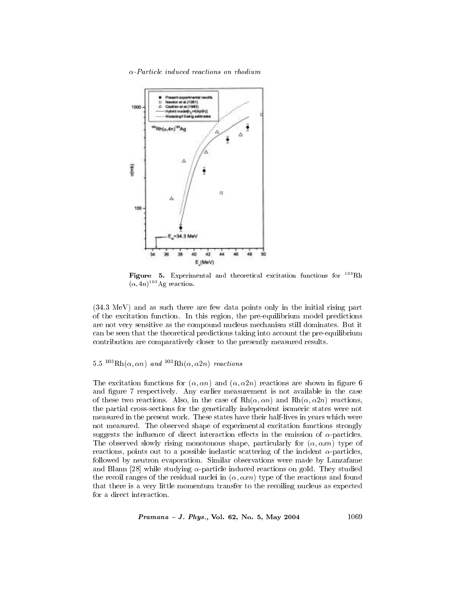

Figure 5. Experimental and theoretical excitation functions for <sup>103</sup>Rh  $(\alpha, 4n)^{103}$ Ag reaction.

(34.3 MeV) and as such there are few data points only in the initial rising part of the excitation function. In this region, the pre-equilibrium model predictions are not very sensitive as the compound nucleus mechanism still dominates. But it can be seen that the theoretical predictions taking into account the pre-equilibrium contribution are comparatively closer to the presently measured results.

# 5.5  $^{103}Rh(\alpha, \alpha n)$  and  $^{103}Rh(\alpha, \alpha 2n)$  reactions

The excitation functions for  $(\alpha, \alpha n)$  and  $(\alpha, \alpha 2n)$  reactions are shown in figure 6 and figure 7 respectively. Any earlier measurement is not available in the case of these two reactions. Also, in the case of  $Rh(\alpha, \alpha n)$  and  $Rh(\alpha, \alpha 2n)$  reactions, the partial cross-sections for the genetically independent isomeric states were not measured in the present work. These states have their half-lives in years which were not measured. The observed shape of experimental excitation functions strongly suggests the influence of direct interaction effects in the emission of  $\alpha$ -particles. The observed slowly rising monotonous shape, particularly for  $(\alpha, \alpha x n)$  type of reactions, points out to a possible inelastic scattering of the incident  $\alpha$ -particles, followed by neutron evaporation. Similar observations were made by Lanzafame and Blann [28] while studying  $\alpha$ -particle induced reactions on gold. They studied the recoil ranges of the residual nuclei in  $(\alpha, \alpha x n)$  type of the reactions and found that there is a very little momentum transfer to the recoiling nucleus as expected for a direct interaction.

$$
Pramana - J. \ Phys., \ Vol. \ 62, \ No. \ 5, \ May \ 2004
$$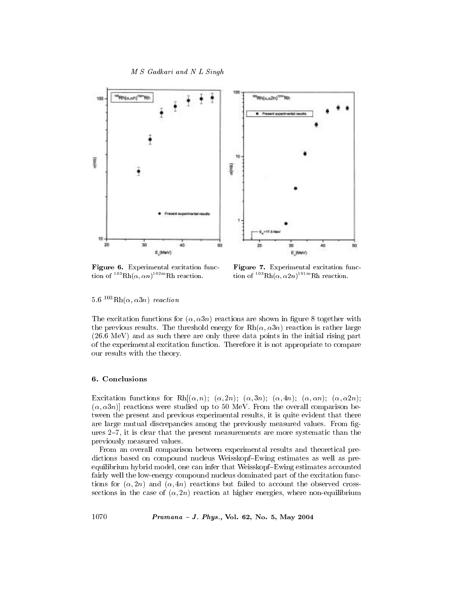



Figure 6. Experimental excitation function of  $103$  Rh( $\alpha$ ,  $\alpha$ n)<sup>102m</sup> Rh reaction.

Figure 7. Experimental excitation function of  $^{103}Rh(\alpha, \alpha 2n)^{101m}Rh$  reaction.

 $5.6^{103} \text{Rh}(\alpha, \alpha 3n)$  reaction

The excitation functions for  $(\alpha, \alpha 3n)$  reactions are shown in figure 8 together with the previous results. The threshold energy for  $\text{Rh}(\alpha, \alpha 3n)$  reaction is rather large  $(26.6 \text{ MeV})$  and as such there are only three data points in the initial rising part of the experimental excitation function. Therefore it is not appropriate to compare our results with the theory.

# 6. Conclusions

Excitation functions for Rh $[(\alpha, n); \ (\alpha, 2n); \ (\alpha, 3n); \ (\alpha, 4n); \ (\alpha, \alpha n); \ (\alpha, \alpha 2n);$  $(\alpha, \alpha 3n)$  reactions were studied up to 50 MeV. From the overall comparison between the present and previous experimental results, it is quite evident that there are large mutual discrepancies among the previously measured values. From figures  $2-7$ , it is clear that the present measurements are more systematic than the previously measured values.

From an overall comparison between experimental results and theoretical predictions based on compound nucleus Weisskopf-Ewing estimates as well as preequilibrium hybrid model, one can infer that Weisskopf-Ewing estimates accounted fairly well the low-energy compound nucleus dominated part of the excitation functions for  $(\alpha, 2n)$  and  $(\alpha, 4n)$  reactions but failed to account the observed crosssections in the case of  $(\alpha, 2n)$  reaction at higher energies, where non-equilibrium

Pramana - J. Phys., Vol. 62, No. 5, May 2004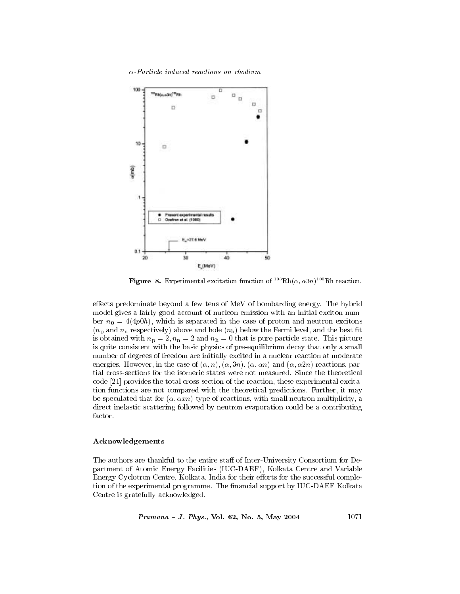

**Figure 8.** Experimental excitation function of  ${}^{103} \text{Rh}(\alpha, \alpha 3n) {}^{100} \text{Rh}$  reaction.

effects predominate beyond a few tens of MeV of bombarding energy. The hybrid model gives a fairly good account of nucleon emission with an initial exciton number  $n_0 = 4(4p0h)$ , which is separated in the case of proton and neutron excitons  $(n_p$  and  $n_n$  respectively) above and hole  $(n_h)$  below the Fermi level, and the best fit is obtained with  $n_p = 2$ ,  $n_n = 2$  and  $n_h = 0$  that is pure particle state. This picture is quite consistent with the basic physics of pre-equilibrium decay that only a small number of degrees of freedom are initially excited in a nuclear reaction at moderate energies. However, in the case of  $(\alpha, n), (\alpha, 3n), (\alpha, \alpha n)$  and  $(\alpha, \alpha 2n)$  reactions, partial cross-sections for the isomeric states were not measured. Since the theoretical code [21] provides the total cross-section of the reaction, these experimental excitation functions are not compared with the theoretical predictions. Further, it may be speculated that for  $(\alpha, \alpha xn)$  type of reactions, with small neutron multiplicity, a direct inelastic scattering followed by neutron evaporation could be a contributing factor.

# Acknowledgements

The authors are thankful to the entire staff of Inter-University Consortium for Department of Atomic Energy Facilities (IUC-DAEF), Kolkata Centre and Variable Energy Cyclotron Centre, Kolkata, India for their efforts for the successful completion of the experimental programme. The financial support by IUC-DAEF Kolkata Centre is gratefully acknowledged.